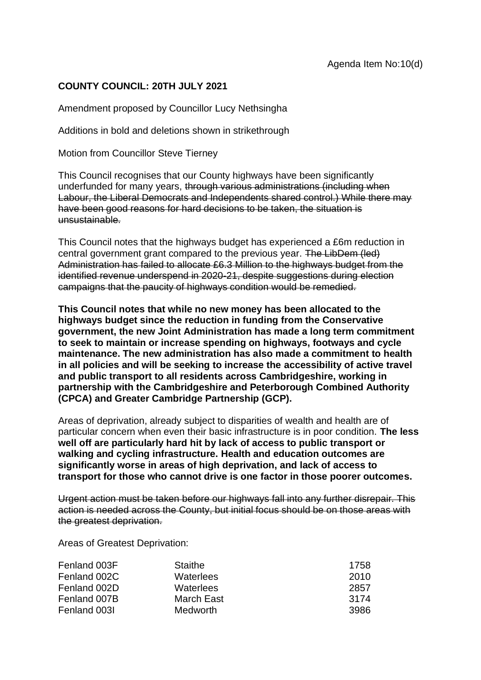## **COUNTY COUNCIL: 20TH JULY 2021**

Amendment proposed by Councillor Lucy Nethsingha

Additions in bold and deletions shown in strikethrough

Motion from Councillor Steve Tierney

This Council recognises that our County highways have been significantly underfunded for many years, through various administrations (including when Labour, the Liberal Democrats and Independents shared control.) While there may have been good reasons for hard decisions to be taken, the situation is unsustainable.

This Council notes that the highways budget has experienced a £6m reduction in central government grant compared to the previous year. The LibDem (led) Administration has failed to allocate £6.3 Million to the highways budget from the identified revenue underspend in 2020-21, despite suggestions during election campaigns that the paucity of highways condition would be remedied.

**This Council notes that while no new money has been allocated to the highways budget since the reduction in funding from the Conservative government, the new Joint Administration has made a long term commitment to seek to maintain or increase spending on highways, footways and cycle maintenance. The new administration has also made a commitment to health in all policies and will be seeking to increase the accessibility of active travel and public transport to all residents across Cambridgeshire, working in partnership with the Cambridgeshire and Peterborough Combined Authority (CPCA) and Greater Cambridge Partnership (GCP).**

Areas of deprivation, already subject to disparities of wealth and health are of particular concern when even their basic infrastructure is in poor condition. **The less well off are particularly hard hit by lack of access to public transport or walking and cycling infrastructure. Health and education outcomes are significantly worse in areas of high deprivation, and lack of access to transport for those who cannot drive is one factor in those poorer outcomes.**

Urgent action must be taken before our highways fall into any further disrepair. This action is needed across the County, but initial focus should be on those areas with the greatest deprivation.

Areas of Greatest Deprivation:

| Fenland 003F | Staithe         | 1758 |
|--------------|-----------------|------|
| Fenland 002C | Waterlees       | 2010 |
| Fenland 002D | Waterlees       | 2857 |
| Fenland 007B | March East      | 3174 |
| Fenland 003I | <b>Medworth</b> | 3986 |